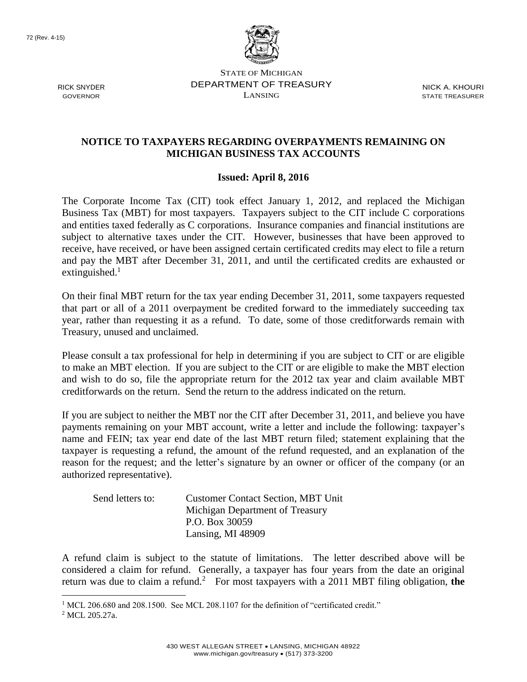RICK SNYDER GOVERNOR



STATE OF MICHIGAN DEPARTMENT OF TREASURY LANSING

NICK A. KHOURI STATE TREASURER

## **NOTICE TO TAXPAYERS REGARDING OVERPAYMENTS REMAINING ON MICHIGAN BUSINESS TAX ACCOUNTS**

## **Issued: April 8, 2016**

The Corporate Income Tax (CIT) took effect January 1, 2012, and replaced the Michigan Business Tax (MBT) for most taxpayers. Taxpayers subject to the CIT include C corporations and entities taxed federally as C corporations. Insurance companies and financial institutions are subject to alternative taxes under the CIT. However, businesses that have been approved to receive, have received, or have been assigned certain certificated credits may elect to file a return and pay the MBT after December 31, 2011, and until the certificated credits are exhausted or extinguished.<sup>1</sup>

On their final MBT return for the tax year ending December 31, 2011, some taxpayers requested that part or all of a 2011 overpayment be credited forward to the immediately succeeding tax year, rather than requesting it as a refund. To date, some of those creditforwards remain with Treasury, unused and unclaimed.

Please consult a tax professional for help in determining if you are subject to CIT or are eligible to make an MBT election. If you are subject to the CIT or are eligible to make the MBT election and wish to do so, file the appropriate return for the 2012 tax year and claim available MBT creditforwards on the return. Send the return to the address indicated on the return.

If you are subject to neither the MBT nor the CIT after December 31, 2011, and believe you have payments remaining on your MBT account, write a letter and include the following: taxpayer's name and FEIN; tax year end date of the last MBT return filed; statement explaining that the taxpayer is requesting a refund, the amount of the refund requested, and an explanation of the reason for the request; and the letter's signature by an owner or officer of the company (or an authorized representative).

| Send letters to: | <b>Customer Contact Section, MBT Unit</b> |
|------------------|-------------------------------------------|
|                  | Michigan Department of Treasury           |
|                  | P.O. Box 30059                            |
|                  | Lansing, MI 48909                         |

A refund claim is subject to the statute of limitations. The letter described above will be considered a claim for refund. Generally, a taxpayer has four years from the date an original return was due to claim a refund.<sup>2</sup> For most taxpayers with a 2011 MBT filing obligation, the

 $\overline{a}$ 

 $1 \text{ MCL}$  206.680 and 208.1500. See MCL 208.1107 for the definition of "certificated credit."

<sup>&</sup>lt;sup>2</sup> MCL 205.27a.